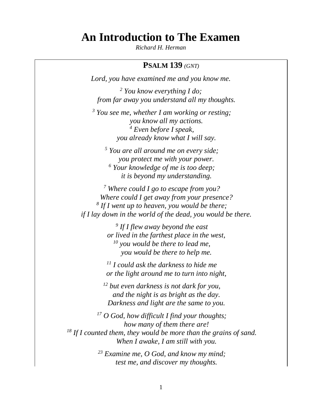# **An Introduction to The Examen**

*Richard H. Herman*

# **PSALM 139** *(GNT)*

*Lord, you have examined me and you know me.*

*<sup>2</sup> You know everything I do; from far away you understand all my thoughts.*

*<sup>3</sup> You see me, whether I am working or resting; you know all my actions. <sup>4</sup> Even before I speak, you already know what I will say.*

*<sup>5</sup> You are all around me on every side; you protect me with your power. <sup>6</sup> Your knowledge of me is too deep; it is beyond my understanding.*

*<sup>7</sup> Where could I go to escape from you? Where could I get away from your presence? 8 If I went up to heaven, you would be there; if I lay down in the world of the dead, you would be there.*

> *9 If I flew away beyond the east or lived in the farthest place in the west, <sup>10</sup> you would be there to lead me, you would be there to help me.*

> *<sup>11</sup> I could ask the darkness to hide me or the light around me to turn into night,*

*<sup>12</sup> but even darkness is not dark for you, and the night is as bright as the day. Darkness and light are the same to you.*

*<sup>17</sup> O God, how difficult I find your thoughts; how many of them there are! <sup>18</sup> If I counted them, they would be more than the grains of sand. When I awake, I am still with you.*

> *<sup>23</sup> Examine me, O God, and know my mind; test me, and discover my thoughts.*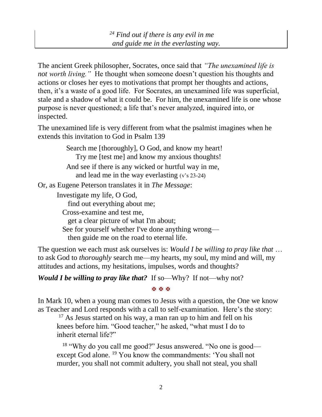The ancient Greek philosopher, Socrates, once said that *"The unexamined life is not worth living.*" He thought when someone doesn't question his thoughts and actions or closes her eyes to motivations that prompt her thoughts and actions, then, it's a waste of a good life. For Socrates, an unexamined life was superficial, stale and a shadow of what it could be. For him, the unexamined life is one whose purpose is never questioned; a life that's never analyzed, inquired into, or inspected.

The unexamined life is very different from what the psalmist imagines when he extends this invitation to God in Psalm 139

> Search me [thoroughly], O God, and know my heart! Try me [test me] and know my anxious thoughts! And see if there is any wicked or hurtful way in me, and lead me in the way everlasting (v's 23-24)

Or, as Eugene Peterson translates it in *The Message*:

Investigate my life, O God,

find out everything about me;

Cross-examine and test me,

get a clear picture of what I'm about;

See for yourself whether I've done anything wrong—

then guide me on the road to eternal life.

The question we each must ask ourselves is: *Would I be willing to pray like that* … to ask God to *thoroughly* search me—my hearts, my soul, my mind and will, my attitudes and actions, my hesitations, impulses, words and thoughts?

*Would I be willing to pray like that?* If so—Why? If not—why not?

**XXX** 

In Mark 10, when a young man comes to Jesus with a question, the One we know as Teacher and Lord responds with a call to self-examination. Here's the story:

 $17$  As Jesus started on his way, a man ran up to him and fell on his knees before him. "Good teacher," he asked, "what must I do to inherit eternal life?"

<sup>18</sup> "Why do you call me good?" Jesus answered. "No one is good except God alone. <sup>19</sup> You know the commandments: 'You shall not murder, you shall not commit adultery, you shall not steal, you shall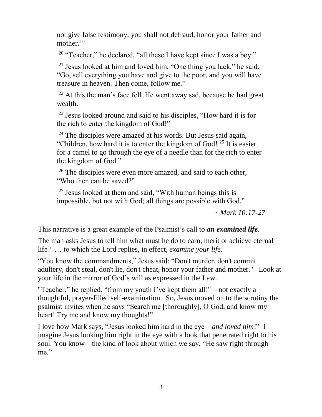not give false testimony, you shall not defraud, honor your father and mother."

<sup>20</sup> "Teacher," he declared, "all these I have kept since I was a boy."

<sup>21</sup> Jesus looked at him and loved him. "One thing you lack," he said. "Go, sell everything you have and give to the poor, and you will have treasure in heaven. Then come, follow me."

 $22$  At this the man's face fell. He went away sad, because he had great wealth.

<sup>23</sup> Jesus looked around and said to his disciples, "How hard it is for the rich to enter the kingdom of God!"

 $24$  The disciples were amazed at his words. But Jesus said again, "Children, how hard it is to enter the kingdom of God!  $25$  It is easier for a camel to go through the eye of a needle than for the rich to enter the kingdom of God."

 $26$  The disciples were even more amazed, and said to each other, "Who then can be saved?"

 $27$  Jesus looked at them and said, "With human beings this is impossible, but not with God; all things are possible with God."

*~ Mark 10:17-27*

This narrative is a great example of the Psalmist's call to *an examined life*.

The man asks Jesus to tell him what must he do to earn, merit or achieve eternal life? … to which the Lord replies, in effect, *examine your life*.

"You know the commandments," Jesus said: "Don't murder, don't commit adultery, don't steal, don't lie, don't cheat, honor your father and mother." Look at your life in the mirror of God's will as expressed in the Law.

"Teacher," he replied, "from my youth I've kept them all!" – not exactly a thoughtful, prayer-filled self-examination. So, Jesus moved on to the scrutiny the psalmist invites when he says "Search me [thoroughly], O God, and know my heart! Try me and know my thoughts!"

I love how Mark says, "Jesus looked him hard in the eye—*and loved him*!" I imagine Jesus looking him right in the eye with a look that penetrated right to his soul. You know—the kind of look about which we say, "He saw right through me."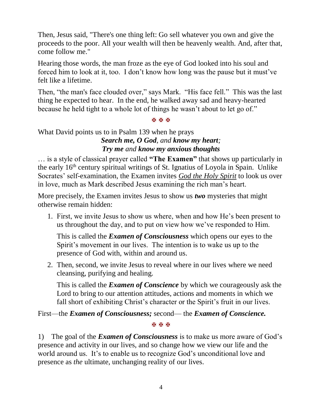Then, Jesus said, "There's one thing left: Go sell whatever you own and give the proceeds to the poor. All your wealth will then be heavenly wealth. And, after that, come follow me."

Hearing those words, the man froze as the eye of God looked into his soul and forced him to look at it, too. I don't know how long was the pause but it must've felt like a lifetime.

Then, "the man's face clouded over," says Mark. "His face fell." This was the last thing he expected to hear. In the end, he walked away sad and heavy-hearted because he held tight to a whole lot of things he wasn't about to let go of."

#### **X X X**

# What David points us to in Psalm 139 when he prays *Search me, O God, and know my heart;*

# *Try me and know my anxious thoughts*

… is a style of classical prayer called **"The Examen"** that shows up particularly in the early 16th century spiritual writings of St. Ignatius of Loyola in Spain. Unlike Socrates' self-examination, the Examen invites *God the Holy Spirit* to look us over in love, much as Mark described Jesus examining the rich man's heart.

More precisely, the Examen invites Jesus to show us *two* mysteries that might otherwise remain hidden:

1. First, we invite Jesus to show us where, when and how He's been present to us throughout the day, and to put on view how we've responded to Him.

This is called the *Examen of Consciousness* which opens our eyes to the Spirit's movement in our lives. The intention is to wake us up to the presence of God with, within and around us.

2. Then, second, we invite Jesus to reveal where in our lives where we need cleansing, purifying and healing.

This is called the *Examen of Conscience* by which we courageously ask the Lord to bring to our attention attitudes, actions and moments in which we fall short of exhibiting Christ's character or the Spirit's fruit in our lives.

First—the *Examen of Consciousness;* second— the *Examen of Conscience.*

#### XXX

1) The goal of the *Examen of Consciousness* is to make us more aware of God's presence and activity in our lives, and so change how we view our life and the world around us. It's to enable us to recognize God's unconditional love and presence as *the* ultimate, unchanging reality of our lives.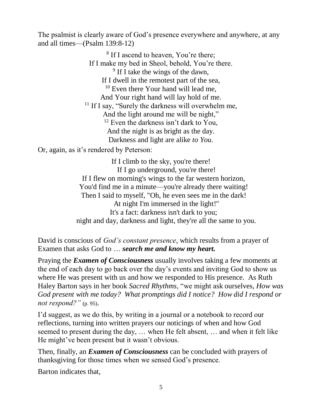The psalmist is clearly aware of God's presence everywhere and anywhere, at any and all times—(Psalm 139:8-12)

> <sup>8</sup> If I ascend to heaven, You're there; If I make my bed in Sheol, behold, You're there. <sup>9</sup> If I take the wings of the dawn, If I dwell in the remotest part of the sea, <sup>10</sup> Even there Your hand will lead me, And Your right hand will lay hold of me. <sup>11</sup> If I say, "Surely the darkness will overwhelm me, And the light around me will be night,"  $12$  Even the darkness isn't dark to You, And the night is as bright as the day. Darkness and light are alike *to You*.

Or, again, as it's rendered by Peterson:

If I climb to the sky, you're there! If I go underground, you're there! If I flew on morning's wings to the far western horizon, You'd find me in a minute—you're already there waiting! Then I said to myself, "Oh, he even sees me in the dark! At night I'm immersed in the light!" It's a fact: darkness isn't dark to you; night and day, darkness and light, they're all the same to you.

David is conscious of *God's constant presence*, which results from a prayer of Examen that asks God to … *search me and know my heart.*

Praying the *Examen of Consciousness* usually involves taking a few moments at the end of each day to go back over the day's events and inviting God to show us where He was present with us and how we responded to His presence. As Ruth Haley Barton says in her book *Sacred Rhythms*, "we might ask ourselves, *How was God present with me today? What promptings did I notice? How did I respond or not respond?"* (p. 95).

I'd suggest, as we do this, by writing in a journal or a notebook to record our reflections, turning into written prayers our noticings of when and how God seemed to present during the day, … when He felt absent, … and when it felt like He might've been present but it wasn't obvious.

Then, finally, an *Examen of Consciousness* can be concluded with prayers of thanksgiving for those times when we sensed God's presence.

Barton indicates that,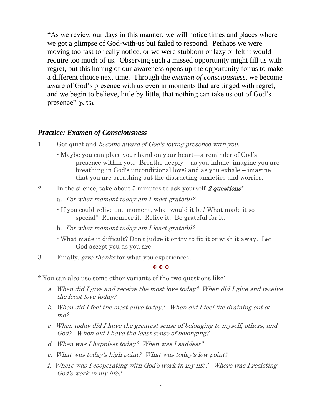"As we review our days in this manner, we will notice times and places where we got a glimpse of God-with-us but failed to respond. Perhaps we were moving too fast to really notice, or we were stubborn or lazy or felt it would require too much of us. Observing such a missed opportunity might fill us with regret, but this honing of our awareness opens up the opportunity for us to make a different choice next time. Through the *examen of consciousness*, we become aware of God's presence with us even in moments that are tinged with regret, and we begin to believe, little by little, that nothing can take us out of God's presence" (p. 96).

## *Practice: Examen of Consciousness*

- 1. Get quiet and become aware of God's loving presence with you.
	- Maybe you can place your hand on your heart—a reminder of God's presence within you. Breathe deeply – as you inhale, imagine you are breathing in God's unconditional love; and as you exhale – imagine that you are breathing out the distracting anxieties and worries.
- 2. In the silence, take about 5 minutes to ask yourself 2 questions<sup>\*</sup>—

a. For what moment today am I most grateful?

- If you could relive one moment, what would it be? What made it so special? Remember it. Relive it. Be grateful for it.

b. For what moment today am I least grateful?

- What made it difficult? Don't judge it or try to fix it or wish it away. Let God accept you as you are.

3. Finally, give thanks for what you experienced.

**X X X** 

\* You can also use some other variants of the two questions like:

- a. When did I give and receive the most love today? When did I give and receive the least love today?
- b. When did I feel the most alive today? When did I feel life draining out of me?
- c. When today did I have the greatest sense of belonging to myself, others, and God? When did I have the least sense of belonging?
- d. When was I happiest today? When was I saddest?
- e. What was today's high point? What was today's low point?
- f. Where was I cooperating with God's work in my life? Where was I resisting God's work in my life?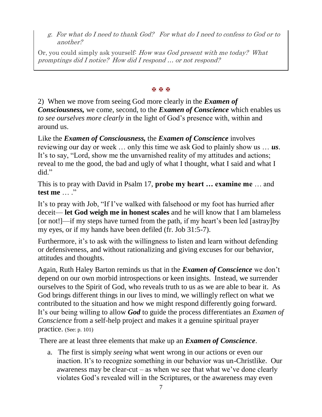g. For what do I need to thank God? For what do I need to confess to God or to another?

Or, you could simply ask yourself: How was God present with me today? What promptings did I notice? How did I respond … or not respond?

#### **K K K**

2) When we move from seeing God more clearly in the *Examen of Consciousness,* we come, second, to the *Examen of Conscience* which enables us *to see ourselves more clearly* in the light of God's presence with, within and around us.

Like the *Examen of Consciousness,* the *Examen of Conscience* involves reviewing our day or week … only this time we ask God to plainly show us … *us*. It's to say, "Lord, show me the unvarnished reality of my attitudes and actions; reveal to me the good, the bad and ugly of what I thought, what I said and what I did"

This is to pray with David in Psalm 17, **probe my heart … examine me** … and **test me** … ."

It's to pray with Job, "If I've walked with falsehood or my foot has hurried after deceit— **let God weigh me in honest scales** and he will know that I am blameless [or not!]—if my steps have turned from the path, if my heart's been led [astray]by my eyes, or if my hands have been defiled (fr. Job 31:5-7).

Furthermore, it's to ask with the willingness to listen and learn without defending or defensiveness, and without rationalizing and giving excuses for our behavior, attitudes and thoughts.

Again, Ruth Haley Barton reminds us that in the *Examen of Conscience* we don't depend on our own morbid introspections or keen insights. Instead, we surrender ourselves to the Spirit of God, who reveals truth to us as we are able to bear it. As God brings different things in our lives to mind, we willingly reflect on what we contributed to the situation and how we might respond differently going forward. It's our being willing to allow *God* to guide the process differentiates an *Examen of Conscience* from a self-help project and makes it a genuine spiritual prayer practice. (See: p. 101)

There are at least three elements that make up an *Examen of Conscience*.

a. The first is simply *seeing* what went wrong in our actions or even our inaction. It's to recognize something in our behavior was un-Christlike. Our awareness may be clear-cut – as when we see that what we've done clearly violates God's revealed will in the Scriptures, or the awareness may even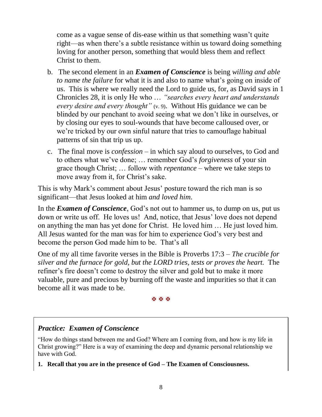come as a vague sense of dis-ease within us that something wasn't quite right—as when there's a subtle resistance within us toward doing something loving for another person, something that would bless them and reflect Christ to them.

- b. The second element in an *Examen of Conscience* is being *willing and able to name the failure* for what it is and also to name what's going on inside of us. This is where we really need the Lord to guide us, for, as David says in 1 Chronicles 28, it is only He who … *"searches every heart and understands every desire and every thought"* (v. 9). Without His guidance we can be blinded by our penchant to avoid seeing what we don't like in ourselves, or by closing our eyes to soul-wounds that have become calloused over, or we're tricked by our own sinful nature that tries to camouflage habitual patterns of sin that trip us up.
- c. The final move is *confession* in which say aloud to ourselves, to God and to others what we've done; … remember God's *forgiveness* of your sin grace though Christ; … follow with *repentance* – where we take steps to move away from it, for Christ's sake.

This is why Mark's comment about Jesus' posture toward the rich man is so significant—that Jesus looked at him *and loved him*.

In the *Examen of Conscience*, God's not out to hammer us, to dump on us, put us down or write us off. He loves us! And, notice, that Jesus' love does not depend on anything the man has yet done for Christ. He loved him … He just loved him. All Jesus wanted for the man was for him to experience God's very best and become the person God made him to be. That's all

One of my all time favorite verses in the Bible is Proverbs 17:3 – *The crucible for silver and the furnace for gold, but the LORD tries, tests or proves the heart.* The refiner's fire doesn't come to destroy the silver and gold but to make it more valuable, pure and precious by burning off the waste and impurities so that it can become all it was made to be.

#### XXX

# *Practice: Examen of Conscience*

"How do things stand between me and God? Where am I coming from, and how is my life in Christ growing?" Here is a way of examining the deep and dynamic personal relationship we have with God.

**1. Recall that you are in the presence of God – The Examen of Consciousness.**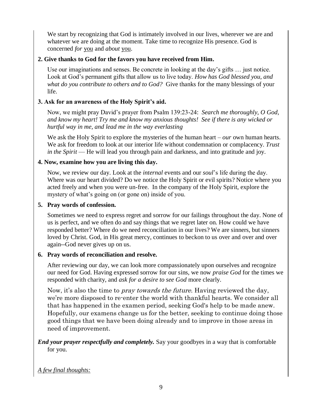We start by recognizing that God is intimately involved in our lives, wherever we are and whatever we are doing at the moment. Take time to recognize His presence. God is concerned *for* you and *about* you.

#### **2. Give thanks to God for the favors you have received from Him.**

 Use our imaginations and senses. Be concrete in looking at the day's gifts … just notice. Look at God's permanent gifts that allow us to live today. *How has God blessed you, and what do you contribute to others and to God?* Give thanks for the many blessings of your life.

## **3. Ask for an awareness of the Holy Spirit's aid.**

Now, we might pray David's prayer from Psalm 139:23-24: *Search me thoroughly, O God, and know my heart! Try me and know my anxious thoughts! See if there is any wicked or hurtful way in me, and lead me in the way everlasting*

We ask the Holy Spirit to explore the mysteries of the human heart – *our* own human hearts. We ask for freedom to look at our interior life without condemnation or complacency. *Trust in the Spirit* — He will lead you through pain and darkness, and into gratitude and joy.

## **4. Now, examine how you are living this day.**

Now, we review our day. Look at the *internal* events and our *soul*'s life during the day. Where was our heart divided? Do we notice the Holy Spirit or evil spirits? Notice where you acted freely and when you were un-free. In the company of the Holy Spirit, explore the mystery of what's going on (or gone on) inside of you.

## **5. Pray words of confession.**

Sometimes we need to express regret and sorrow for our failings throughout the day. None of us is perfect, and we often do and say things that we regret later on. How could we have responded better? Where do we need reconciliation in our lives? We are sinners, but sinners loved by Christ. God, in His great mercy, continues to beckon to us over and over and over again--God never gives up on us.

## **6. Pray words of reconciliation and resolve.**

 After reviewing our day, we can look more compassionately upon ourselves and recognize our need for God. Having expressed sorrow for our sins, we now *praise God* for the times we responded with charity, and *ask for a desire to see God* more clearly.

Now, it's also the time to *pray towards the future*. Having reviewed the day, we're more disposed to re-enter the world with thankful hearts. We consider all that has happened in the examen period, seeking God's help to be made anew. Hopefully, our examens change us for the better, seeking to continue doing those good things that we have been doing already and to improve in those areas in need of improvement.

*End your prayer respectfully and completely.* Say your goodbyes in a way that is comfortable for you.

*A few final thoughts:*